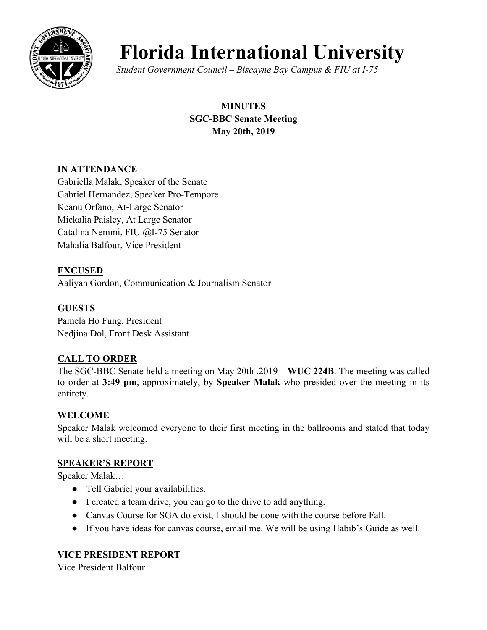

# **Florida International University**

*Student Government Council – Biscayne Bay Campus & FIU at I-75*

# **MINUTES SGC-BBC Senate Meeting May 20th, 2019**

# **IN ATTENDANCE**

Gabriella Malak, Speaker of the Senate Gabriel Hernandez, Speaker Pro-Tempore Keanu Orfano, At-Large Senator Mickalia Paisley, At Large Senator Catalina Nemmi, FIU @I-75 Senator Mahalia Balfour, Vice President

# **EXCUSED**

Aaliyah Gordon, Communication & Journalism Senator

# **GUESTS**

Pamela Ho Fung, President Nedjina Dol, Front Desk Assistant

# **CALL TO ORDER**

The SGC-BBC Senate held a meeting on May 20th ,2019 – **WUC 224B**. The meeting was called to order at **3:49 pm**, approximately, by **Speaker Malak** who presided over the meeting in its entirety.

# **WELCOME**

Speaker Malak welcomed everyone to their first meeting in the ballrooms and stated that today will be a short meeting.

# **SPEAKER'S REPORT**

Speaker Malak…

- Tell Gabriel your availabilities.
- I created a team drive, you can go to the drive to add anything.
- Canvas Course for SGA do exist, I should be done with the course before Fall.
- If you have ideas for canvas course, email me. We will be using Habib's Guide as well.

# **VICE PRESIDENT REPORT**

Vice President Balfour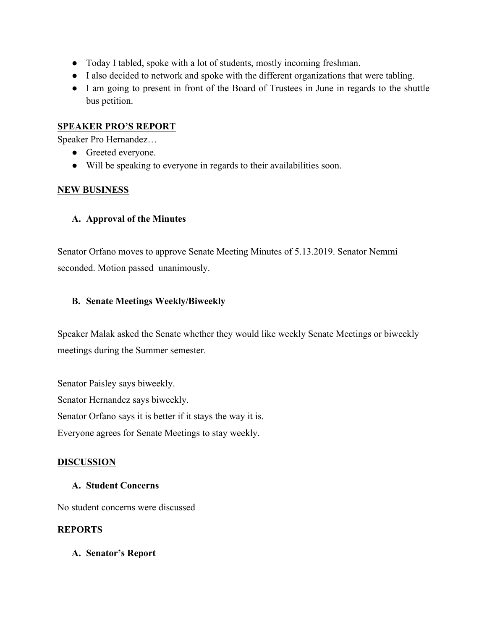- Today I tabled, spoke with a lot of students, mostly incoming freshman.
- I also decided to network and spoke with the different organizations that were tabling.
- I am going to present in front of the Board of Trustees in June in regards to the shuttle bus petition.

#### **SPEAKER PRO'S REPORT**

Speaker Pro Hernandez…

- Greeted everyone.
- Will be speaking to everyone in regards to their availabilities soon.

# **NEW BUSINESS**

# **A. Approval of the Minutes**

Senator Orfano moves to approve Senate Meeting Minutes of 5.13.2019. Senator Nemmi seconded. Motion passed unanimously.

# **B. Senate Meetings Weekly/Biweekly**

Speaker Malak asked the Senate whether they would like weekly Senate Meetings or biweekly meetings during the Summer semester.

Senator Paisley says biweekly. Senator Hernandez says biweekly. Senator Orfano says it is better if it stays the way it is. Everyone agrees for Senate Meetings to stay weekly.

# **DISCUSSION**

# **A. Student Concerns**

No student concerns were discussed

# **REPORTS**

**A. Senator's Report**